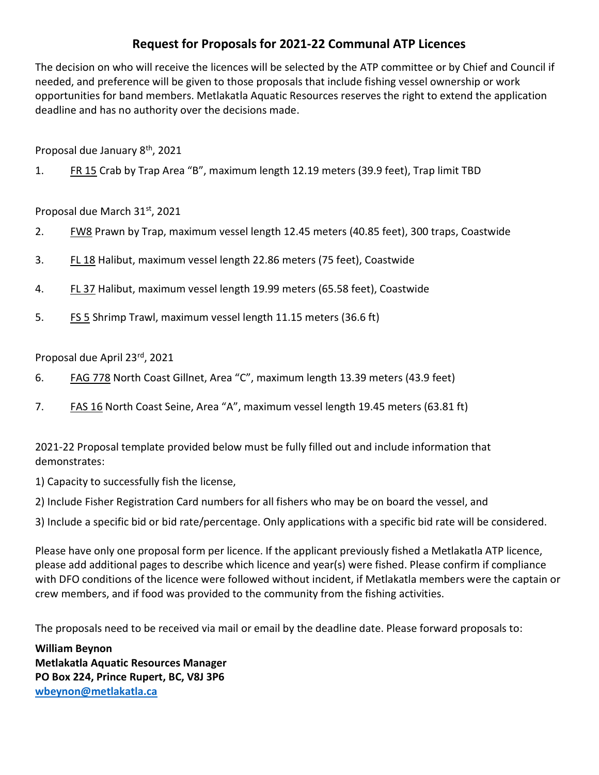## Request for Proposals for 2021-22 Communal ATP Licences

The decision on who will receive the licences will be selected by the ATP committee or by Chief and Council if needed, and preference will be given to those proposals that include fishing vessel ownership or work opportunities for band members. Metlakatla Aquatic Resources reserves the right to extend the application deadline and has no authority over the decisions made.

Proposal due January 8th, 2021

1. FR 15 Crab by Trap Area "B", maximum length 12.19 meters (39.9 feet), Trap limit TBD

Proposal due March 31st, 2021

- 2. FW8 Prawn by Trap, maximum vessel length 12.45 meters (40.85 feet), 300 traps, Coastwide
- 3. FL 18 Halibut, maximum vessel length 22.86 meters (75 feet), Coastwide
- 4. **FL 37** Halibut, maximum vessel length 19.99 meters (65.58 feet), Coastwide
- 5. FS 5 Shrimp Trawl, maximum vessel length 11.15 meters (36.6 ft)

Proposal due April 23rd, 2021

- 6. FAG 778 North Coast Gillnet, Area "C", maximum length 13.39 meters (43.9 feet)
- 7. FAS 16 North Coast Seine, Area "A", maximum vessel length 19.45 meters (63.81 ft)

2021-22 Proposal template provided below must be fully filled out and include information that demonstrates:

1) Capacity to successfully fish the license,

2) Include Fisher Registration Card numbers for all fishers who may be on board the vessel, and

3) Include a specific bid or bid rate/percentage. Only applications with a specific bid rate will be considered.

Please have only one proposal form per licence. If the applicant previously fished a Metlakatla ATP licence, please add additional pages to describe which licence and year(s) were fished. Please confirm if compliance with DFO conditions of the licence were followed without incident, if Metlakatla members were the captain or crew members, and if food was provided to the community from the fishing activities.

The proposals need to be received via mail or email by the deadline date. Please forward proposals to:

William Beynon Metlakatla Aquatic Resources Manager PO Box 224, Prince Rupert, BC, V8J 3P6 wbeynon@metlakatla.ca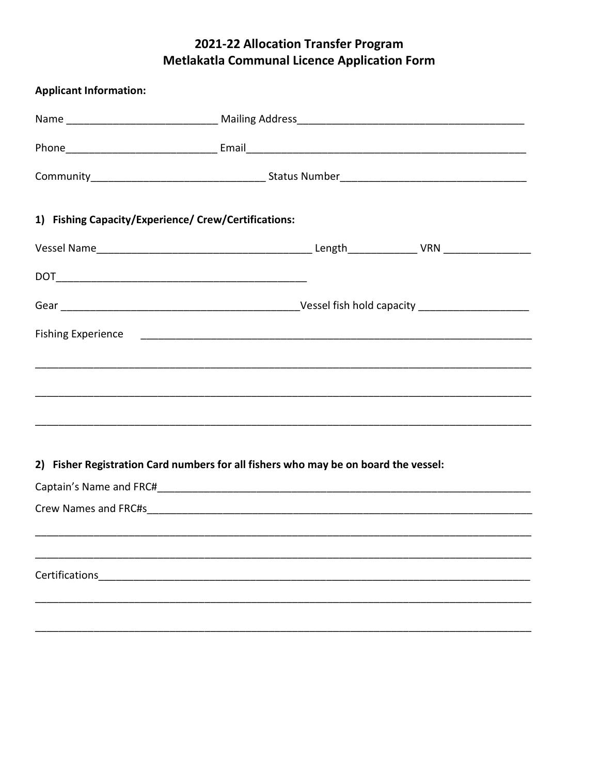## 2021-22 Allocation Transfer Program **Metlakatla Communal Licence Application Form**

| <b>Applicant Information:</b>                        |                                                                                     |  |  |  |  |
|------------------------------------------------------|-------------------------------------------------------------------------------------|--|--|--|--|
|                                                      |                                                                                     |  |  |  |  |
|                                                      |                                                                                     |  |  |  |  |
|                                                      |                                                                                     |  |  |  |  |
| 1) Fishing Capacity/Experience/ Crew/Certifications: |                                                                                     |  |  |  |  |
|                                                      |                                                                                     |  |  |  |  |
|                                                      |                                                                                     |  |  |  |  |
|                                                      |                                                                                     |  |  |  |  |
|                                                      |                                                                                     |  |  |  |  |
|                                                      |                                                                                     |  |  |  |  |
|                                                      |                                                                                     |  |  |  |  |
|                                                      |                                                                                     |  |  |  |  |
|                                                      |                                                                                     |  |  |  |  |
|                                                      | 2) Fisher Registration Card numbers for all fishers who may be on board the vessel: |  |  |  |  |
|                                                      |                                                                                     |  |  |  |  |
|                                                      |                                                                                     |  |  |  |  |
|                                                      |                                                                                     |  |  |  |  |
|                                                      |                                                                                     |  |  |  |  |
| Certifications                                       |                                                                                     |  |  |  |  |
|                                                      |                                                                                     |  |  |  |  |
|                                                      |                                                                                     |  |  |  |  |